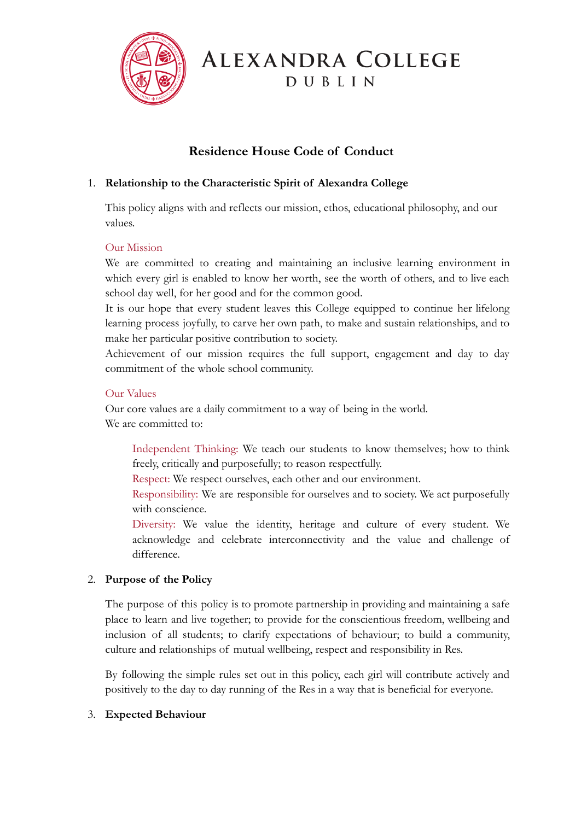

# ALEXANDRA COLLEGE DUBLIN

# **Residence House Code of Conduct**

# 1. **Relationship to the Characteristic Spirit of Alexandra College**

This policy aligns with and reflects our mission, ethos, educational philosophy, and our values.

#### Our Mission

We are committed to creating and maintaining an inclusive learning environment in which every girl is enabled to know her worth, see the worth of others, and to live each school day well, for her good and for the common good.

It is our hope that every student leaves this College equipped to continue her lifelong learning process joyfully, to carve her own path, to make and sustain relationships, and to make her particular positive contribution to society.

Achievement of our mission requires the full support, engagement and day to day commitment of the whole school community.

#### Our Values

Our core values are a daily commitment to a way of being in the world. We are committed to:

Independent Thinking: We teach our students to know themselves; how to think freely, critically and purposefully; to reason respectfully.

Respect: We respect ourselves, each other and our environment.

Responsibility: We are responsible for ourselves and to society. We act purposefully with conscience.

Diversity: We value the identity, heritage and culture of every student. We acknowledge and celebrate interconnectivity and the value and challenge of difference.

#### 2. **Purpose of the Policy**

The purpose of this policy is to promote partnership in providing and maintaining a safe place to learn and live together; to provide for the conscientious freedom, wellbeing and inclusion of all students; to clarify expectations of behaviour; to build a community, culture and relationships of mutual wellbeing, respect and responsibility in Res.

By following the simple rules set out in this policy, each girl will contribute actively and positively to the day to day running of the Res in a way that is beneficial for everyone.

#### 3. **Expected Behaviour**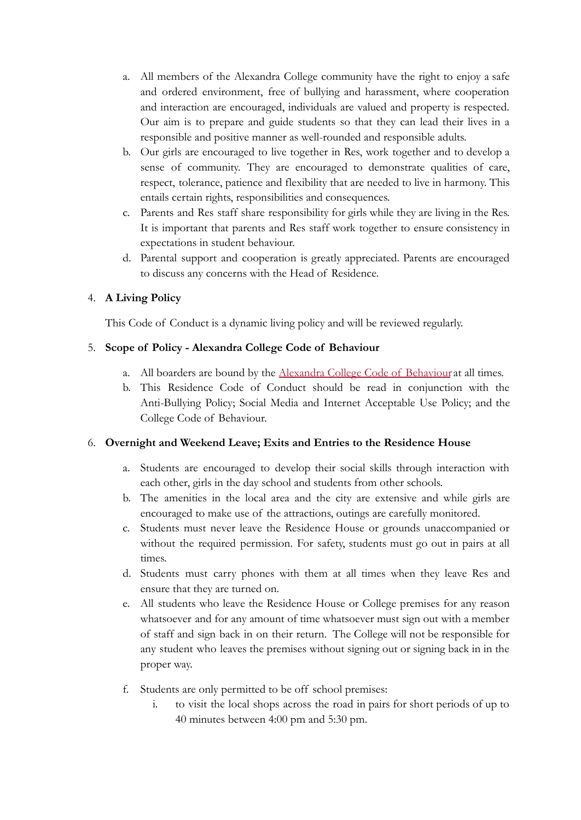- a. All members of the Alexandra College community have the right to enjoy a safe and ordered environment, free of bullying and harassment, where cooperation and interaction are encouraged, individuals are valued and property is respected. Our aim is to prepare and guide students so that they can lead their lives in a responsible and positive manner as well-rounded and responsible adults.
- b. Our girls are encouraged to live together in Res, work together and to develop a sense of community. They are encouraged to demonstrate qualities of care, respect, tolerance, patience and flexibility that are needed to live in harmony. This entails certain rights, responsibilities and consequences.
- c. Parents and Res staff share responsibility for girls while they are living in the Res. It is important that parents and Res staff work together to ensure consistency in expectations in student behaviour.
- d. Parental support and cooperation is greatly appreciated. Parents are encouraged to discuss any concerns with the Head of Residence.

# 4. **A Living Policy**

This Code of Conduct is a dynamic living policy and will be reviewed regularly.

# 5. **Scope of Policy - Alexandra College Code of Behaviour**

- a. All boarders are bound by the [Alexandra College Code](https://alexandracollege.eu/docs/Policies/Code_of_Behaviour_and_Disciplinary_Procedure_2020_Draft_for_consultation.pdf) of Behaviour at all times.
- b. This Residence Code of Conduct should be read in conjunction with the Anti-Bullying Policy; Social Media and Internet Acceptable Use Policy; and the College Code of Behaviour.

# 6. **Overnight and Weekend Leave; Exits and Entries to the Residence House**

- a. Students are encouraged to develop their social skills through interaction with each other, girls in the day school and students from other schools.
- b. The amenities in the local area and the city are extensive and while girls are encouraged to make use of the attractions, outings are carefully monitored.
- c. Students must never leave the Residence House or grounds unaccompanied or without the required permission. For safety, students must go out in pairs at all times.
- d. Students must carry phones with them at all times when they leave Res and ensure that they are turned on.
- e. All students who leave the Residence House or College premises for any reason whatsoever and for any amount of time whatsoever must sign out with a member of staff and sign back in on their return. The College will not be responsible for any student who leaves the premises without signing out or signing back in in the proper way.
- f. Students are only permitted to be off school premises:
	- i. to visit the local shops across the road in pairs for short periods of up to 40 minutes between 4:00 pm and 5:30 pm.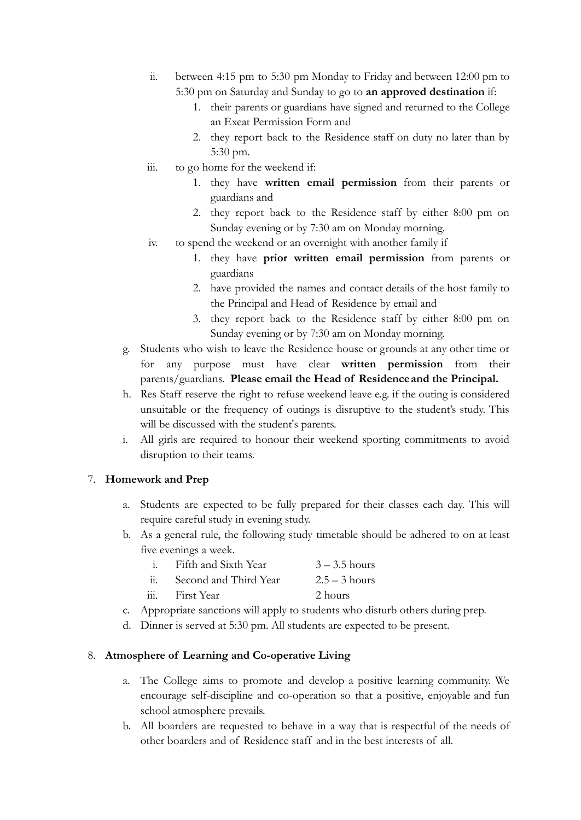- ii. between 4:15 pm to 5:30 pm Monday to Friday and between 12:00 pm to 5:30 pm on Saturday and Sunday to go to **an approved destination** if:
	- 1. their parents or guardians have signed and returned to the College an Exeat Permission Form and
	- 2. they report back to the Residence staff on duty no later than by 5:30 pm.
- iii. to go home for the weekend if:
	- 1. they have **written email permission** from their parents or guardians and
	- 2. they report back to the Residence staff by either 8:00 pm on Sunday evening or by 7:30 am on Monday morning.
- iv. to spend the weekend or an overnight with another family if
	- 1. they have **prior written email permission** from parents or guardians
	- 2. have provided the names and contact details of the host family to the Principal and Head of Residence by email and
	- 3. they report back to the Residence staff by either 8:00 pm on Sunday evening or by 7:30 am on Monday morning.
- g. Students who wish to leave the Residence house or grounds at any other time or for any purpose must have clear **written permission** from their parents/guardians. **Please email the Head of Residenceand the Principal.**
- h. Res Staff reserve the right to refuse weekend leave e.g. if the outing is considered unsuitable or the frequency of outings is disruptive to the student's study. This will be discussed with the student's parents.
- i. All girls are required to honour their weekend sporting commitments to avoid disruption to their teams.

# 7. **Homework and Prep**

- a. Students are expected to be fully prepared for their classes each day. This will require careful study in evening study.
- b. As a general rule, the following study timetable should be adhered to on at least five evenings a week.
	- i. Fifth and Sixth Year  $3 3.5$  hours
	- ii. Second and Third Year  $2.5 3$  hours
	- iii. First Year 2 hours
- c. Appropriate sanctions will apply to students who disturb others during prep.
- d. Dinner is served at 5:30 pm. All students are expected to be present.

#### 8. **Atmosphere of Learning and Co-operative Living**

- a. The College aims to promote and develop a positive learning community. We encourage self-discipline and co-operation so that a positive, enjoyable and fun school atmosphere prevails.
- b. All boarders are requested to behave in a way that is respectful of the needs of other boarders and of Residence staff and in the best interests of all.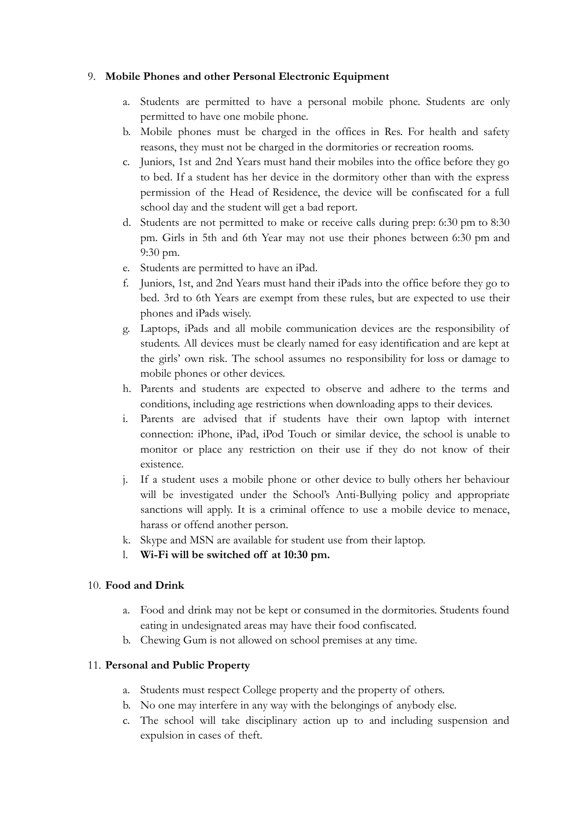#### 9. **Mobile Phones and other Personal Electronic Equipment**

- a. Students are permitted to have a personal mobile phone. Students are only permitted to have one mobile phone.
- b. Mobile phones must be charged in the offices in Res. For health and safety reasons, they must not be charged in the dormitories or recreation rooms.
- c. Juniors, 1st and 2nd Years must hand their mobiles into the office before they go to bed. If a student has her device in the dormitory other than with the express permission of the Head of Residence, the device will be confiscated for a full school day and the student will get a bad report.
- d. Students are not permitted to make or receive calls during prep: 6:30 pm to 8:30 pm. Girls in 5th and 6th Year may not use their phones between 6:30 pm and 9:30 pm.
- e. Students are permitted to have an iPad.
- f. Juniors, 1st, and 2nd Years must hand their iPads into the office before they go to bed. 3rd to 6th Years are exempt from these rules, but are expected to use their phones and iPads wisely.
- g. Laptops, iPads and all mobile communication devices are the responsibility of students. All devices must be clearly named for easy identification and are kept at the girls' own risk. The school assumes no responsibility for loss or damage to mobile phones or other devices.
- h. Parents and students are expected to observe and adhere to the terms and conditions, including age restrictions when downloading apps to their devices.
- i. Parents are advised that if students have their own laptop with internet connection: iPhone, iPad, iPod Touch or similar device, the school is unable to monitor or place any restriction on their use if they do not know of their existence.
- j. If a student uses a mobile phone or other device to bully others her behaviour will be investigated under the School's Anti-Bullying policy and appropriate sanctions will apply. It is a criminal offence to use a mobile device to menace, harass or offend another person.
- k. Skype and MSN are available for student use from their laptop.
- l. **Wi-Fi will be switched off at 10:30 pm.**

# 10. **Food and Drink**

- a. Food and drink may not be kept or consumed in the dormitories. Students found eating in undesignated areas may have their food confiscated.
- b. Chewing Gum is not allowed on school premises at any time.

# 11. **Personal and Public Property**

- a. Students must respect College property and the property of others.
- b. No one may interfere in any way with the belongings of anybody else.
- c. The school will take disciplinary action up to and including suspension and expulsion in cases of theft.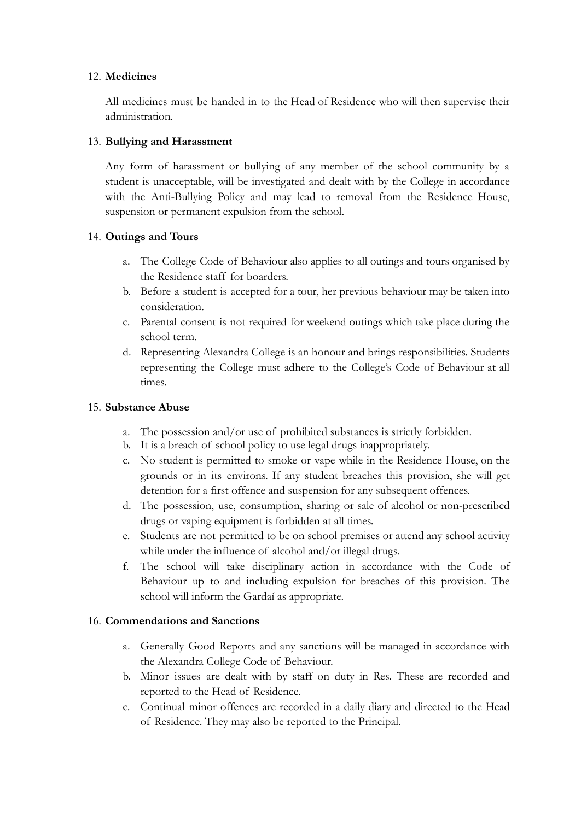#### 12. **Medicines**

All medicines must be handed in to the Head of Residence who will then supervise their administration.

# 13. **Bullying and Harassment**

Any form of harassment or bullying of any member of the school community by a student is unacceptable, will be investigated and dealt with by the College in accordance with the Anti-Bullying Policy and may lead to removal from the Residence House, suspension or permanent expulsion from the school.

# 14. **Outings and Tours**

- a. The College Code of Behaviour also applies to all outings and tours organised by the Residence staff for boarders.
- b. Before a student is accepted for a tour, her previous behaviour may be taken into consideration.
- c. Parental consent is not required for weekend outings which take place during the school term.
- d. Representing Alexandra College is an honour and brings responsibilities. Students representing the College must adhere to the College's Code of Behaviour at all times.

#### 15. **Substance Abuse**

- a. The possession and/or use of prohibited substances is strictly forbidden.
- b. It is a breach of school policy to use legal drugs inappropriately.
- c. No student is permitted to smoke or vape while in the Residence House, on the grounds or in its environs. If any student breaches this provision, she will get detention for a first offence and suspension for any subsequent offences.
- d. The possession, use, consumption, sharing or sale of alcohol or non-prescribed drugs or vaping equipment is forbidden at all times.
- e. Students are not permitted to be on school premises or attend any school activity while under the influence of alcohol and/or illegal drugs.
- f. The school will take disciplinary action in accordance with the Code of Behaviour up to and including expulsion for breaches of this provision. The school will inform the Gardaí as appropriate.

# 16. **Commendations and Sanctions**

- a. Generally Good Reports and any sanctions will be managed in accordance with the Alexandra College Code of Behaviour.
- b. Minor issues are dealt with by staff on duty in Res. These are recorded and reported to the Head of Residence.
- c. Continual minor offences are recorded in a daily diary and directed to the Head of Residence. They may also be reported to the Principal.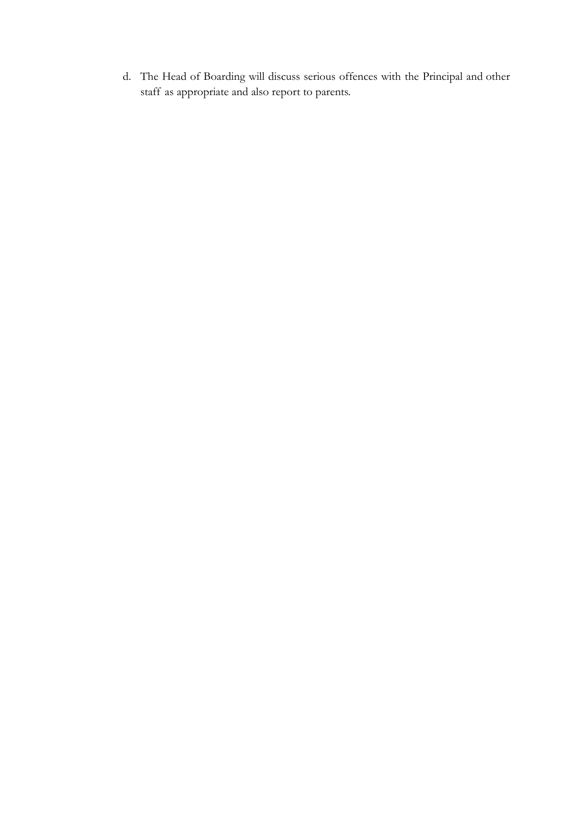d. The Head of Boarding will discuss serious offences with the Principal and other staff as appropriate and also report to parents.